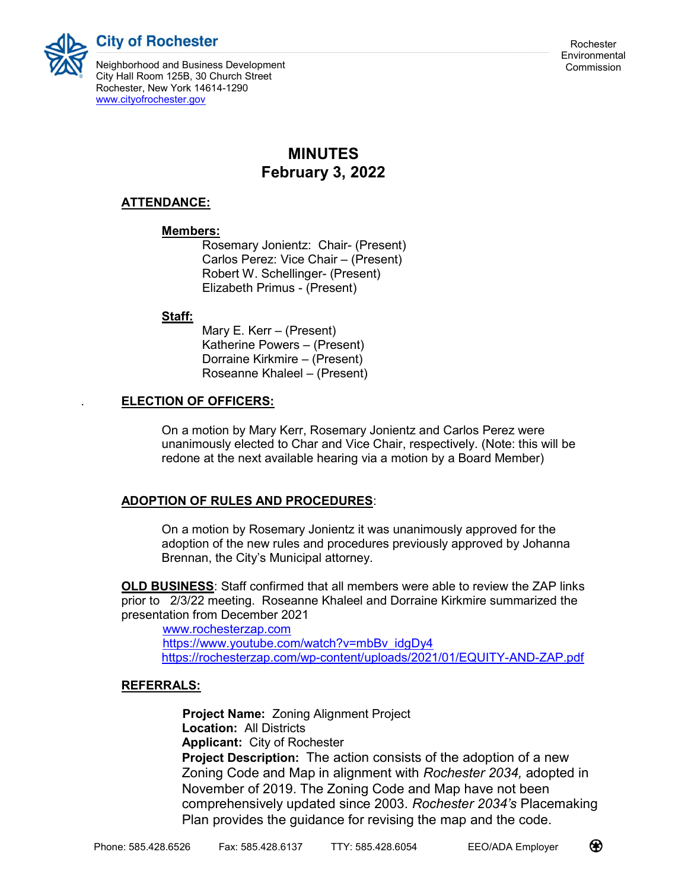**City of Rochester** 

Neighborhood and Business Development Commission City Hall Room 125B, 30 Church Street Rochester, New York 14614-1290 www.cityofrochester.gov

# MINUTES February 3, 2022

# ATTENDANCE:

### Members:

 Rosemary Jonientz: Chair- (Present) Carlos Perez: Vice Chair – (Present) Robert W. Schellinger- (Present) Elizabeth Primus - (Present)

### Staff:

 Mary E. Kerr – (Present) Katherine Powers – (Present) Dorraine Kirkmire – (Present) Roseanne Khaleel – (Present)

# . ELECTION OF OFFICERS:

On a motion by Mary Kerr, Rosemary Jonientz and Carlos Perez were unanimously elected to Char and Vice Chair, respectively. (Note: this will be redone at the next available hearing via a motion by a Board Member)

# ADOPTION OF RULES AND PROCEDURES:

On a motion by Rosemary Jonientz it was unanimously approved for the adoption of the new rules and procedures previously approved by Johanna Brennan, the City's Municipal attorney.

OLD BUSINESS: Staff confirmed that all members were able to review the ZAP links prior to 2/3/22 meeting. Roseanne Khaleel and Dorraine Kirkmire summarized the presentation from December 2021

 www.rochesterzap.com https://www.youtube.com/watch?v=mbBv\_idgDy4 https://rochesterzap.com/wp-content/uploads/2021/01/EQUITY-AND-ZAP.pdf

# REFERRALS:

 Project Name: Zoning Alignment Project Location: All Districts Applicant: City of Rochester Project Description: The action consists of the adoption of a new Zoning Code and Map in alignment with Rochester 2034, adopted in November of 2019. The Zoning Code and Map have not been comprehensively updated since 2003. Rochester 2034's Placemaking Plan provides the guidance for revising the map and the code.